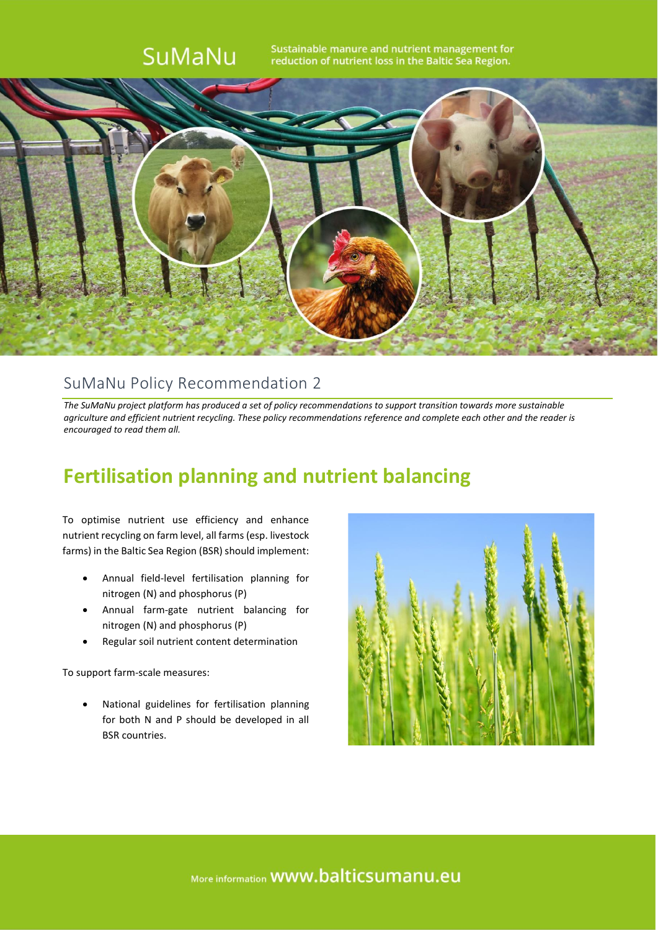

## SuMaNu Policy Recommendation 2

*The SuMaNu project platform has produced a set of policy recommendations to support transition towards more sustainable agriculture and efficient nutrient recycling. These policy recommendations reference and complete each other and the reader is encouraged to read them all.*

## **Fertilisation planning and nutrient balancing**

To optimise nutrient use efficiency and enhance nutrient recycling on farm level, all farms (esp. livestock farms) in the Baltic Sea Region (BSR) should implement:

- Annual field-level fertilisation planning for nitrogen (N) and phosphorus (P)
- Annual farm-gate nutrient balancing for nitrogen (N) and phosphorus (P)
- Regular soil nutrient content determination

To support farm-scale measures:

• National guidelines for fertilisation planning for both N and P should be developed in all BSR countries.

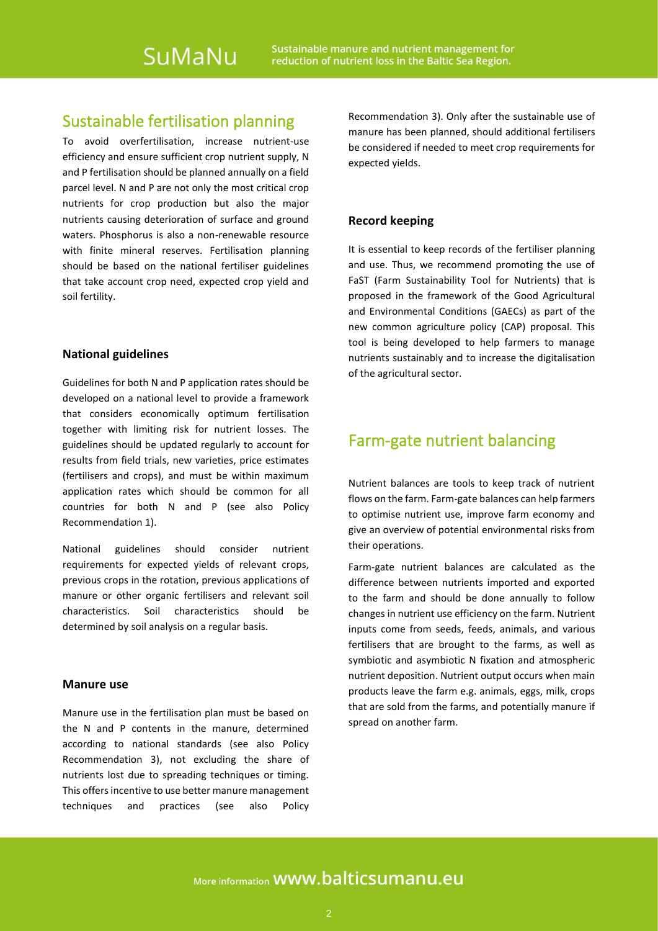## Sustainable fertilisation planning

To avoid overfertilisation, increase nutrient-use efficiency and ensure sufficient crop nutrient supply, N and P fertilisation should be planned annually on a field parcel level. N and P are not only the most critical crop nutrients for crop production but also the major nutrients causing deterioration of surface and ground waters. Phosphorus is also a non-renewable resource with finite mineral reserves. Fertilisation planning should be based on the national fertiliser guidelines that take account crop need, expected crop yield and soil fertility.

#### **National guidelines**

Guidelines for both N and P application rates should be developed on a national level to provide a framework that considers economically optimum fertilisation together with limiting risk for nutrient losses. The guidelines should be updated regularly to account for results from field trials, new varieties, price estimates (fertilisers and crops), and must be within maximum application rates which should be common for all countries for both N and P (see also Policy Recommendation 1).

National guidelines should consider nutrient requirements for expected yields of relevant crops, previous crops in the rotation, previous applications of manure or other organic fertilisers and relevant soil characteristics. Soil characteristics should be determined by soil analysis on a regular basis.

#### **Manure use**

Manure use in the fertilisation plan must be based on the N and P contents in the manure, determined according to national standards (see also Policy Recommendation 3), not excluding the share of nutrients lost due to spreading techniques or timing. This offers incentive to use better manure management techniques and practices (see also Policy

Recommendation 3). Only after the sustainable use of manure has been planned, should additional fertilisers be considered if needed to meet crop requirements for expected yields.

#### **Record keeping**

It is essential to keep records of the fertiliser planning and use. Thus, we recommend promoting the use of FaST (Farm Sustainability Tool for Nutrients) that is proposed in the framework of the Good Agricultural and Environmental Conditions (GAECs) as part of the new common agriculture policy (CAP) proposal. This tool is being developed to help farmers to manage nutrients sustainably and to increase the digitalisation of the agricultural sector.

### Farm-gate nutrient balancing

Nutrient balances are tools to keep track of nutrient flows on the farm. Farm-gate balances can help farmers to optimise nutrient use, improve farm economy and give an overview of potential environmental risks from their operations.

Farm-gate nutrient balances are calculated as the difference between nutrients imported and exported to the farm and should be done annually to follow changes in nutrient use efficiency on the farm. Nutrient inputs come from seeds, feeds, animals, and various fertilisers that are brought to the farms, as well as symbiotic and asymbiotic N fixation and atmospheric nutrient deposition. Nutrient output occurs when main products leave the farm e.g. animals, eggs, milk, crops that are sold from the farms, and potentially manure if spread on another farm.